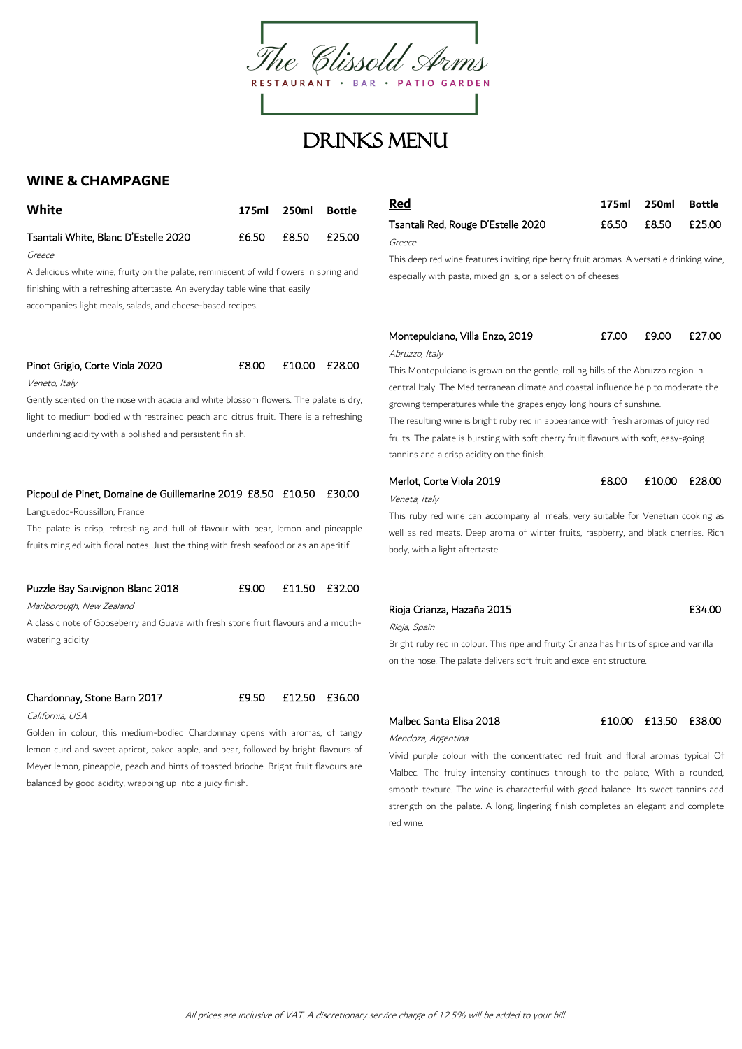

# DRINKS MENU

## **WINE & CHAMPAGNE**

| White                                |       | 175ml 250ml Bottle |        |
|--------------------------------------|-------|--------------------|--------|
| Tsantali White. Blanc D'Estelle 2020 | £6.50 | £8.50              | £25.00 |
| Greece                               |       |                    |        |

A delicious white wine, fruity on the palate, reminiscent of wild flowers in spring and finishing with a refreshing aftertaste. An everyday table wine that easily accompanies light meals, salads, and cheese-based recipes.

| Pinot Grigio, Corte Viola 2020<br>£8.00 £10.00 £28.00 |  |
|-------------------------------------------------------|--|
|-------------------------------------------------------|--|

Veneto, Italy

Gently scented on the nose with acacia and white blossom flowers. The palate is dry, light to medium bodied with restrained peach and citrus fruit. There is a refreshing underlining acidity with a polished and persistent finish.

### Picpoul de Pinet, Domaine de Guillemarine 2019 £8.50 £10.50 £30.00

Languedoc-Roussillon, France

The palate is crisp, refreshing and full of flavour with pear, lemon and pineapple fruits mingled with floral notes. Just the thing with fresh seafood or as an aperitif.

## Puzzle Bay Sauvignon Blanc 2018 £9.00 £11.50 £32.00

Marlborough, New Zealand

A classic note of Gooseberry and Guava with fresh stone fruit flavours and a mouthwatering acidity

#### Chardonnay, Stone Barn 2017 £9.50 £12.50 £36.00

California, USA

Golden in colour, this medium-bodied Chardonnay opens with aromas, of tangy lemon curd and sweet apricot, baked apple, and pear, followed by bright flavours of Meyer lemon, pineapple, peach and hints of toasted brioche. Bright fruit flavours are balanced by good acidity, wrapping up into a juicy finish.

| <u>Red</u>                         | 175ml 250ml | Bottle       |
|------------------------------------|-------------|--------------|
| Tsantali Red, Rouge D'Estelle 2020 | £6.50       | £8.50 £25.00 |
| Greece                             |             |              |
|                                    |             |              |

This deep red wine features inviting ripe berry fruit aromas. A versatile drinking wine, especially with pasta, mixed grills, or a selection of cheeses.

## Montepulciano, Villa Enzo, 2019 £7.00 £9.00 £27.00

Abruzzo, Italy

This Montepulciano is grown on the gentle, rolling hills of the Abruzzo region in

central Italy. The Mediterranean climate and coastal influence help to moderate the growing temperatures while the grapes enjoy long hours of sunshine. The resulting wine is bright ruby red in appearance with fresh aromas of juicy red fruits. The palate is bursting with soft cherry fruit flavours with soft, easy-going tannins and a crisp acidity on the finish.

## Merlot, Corte Viola 2019 **E8.00** £10.00 £28.00

Veneta, Italy

This ruby red wine can accompany all meals, very suitable for Venetian cooking as well as red meats. Deep aroma of winter fruits, raspberry, and black cherries. Rich body, with a light aftertaste.

## Rioja Crianza, Hazaña 2015  $\overline{2}$  Rioja Crianza, Hazaña 2015  $\overline{2}$

Rioja, Spain

Bright ruby red in colour. This ripe and fruity Crianza has hints of spice and vanilla on the nose. The palate delivers soft fruit and excellent structure.

Malbec Santa Elisa 2018 **E10.00** £13.50 £38.00

Mendoza, Argentina

Vivid purple colour with the concentrated red fruit and floral aromas typical Of Malbec. The fruity intensity continues through to the palate, With a rounded, smooth texture. The wine is characterful with good balance. Its sweet tannins add strength on the palate. A long, lingering finish completes an elegant and complete red wine.